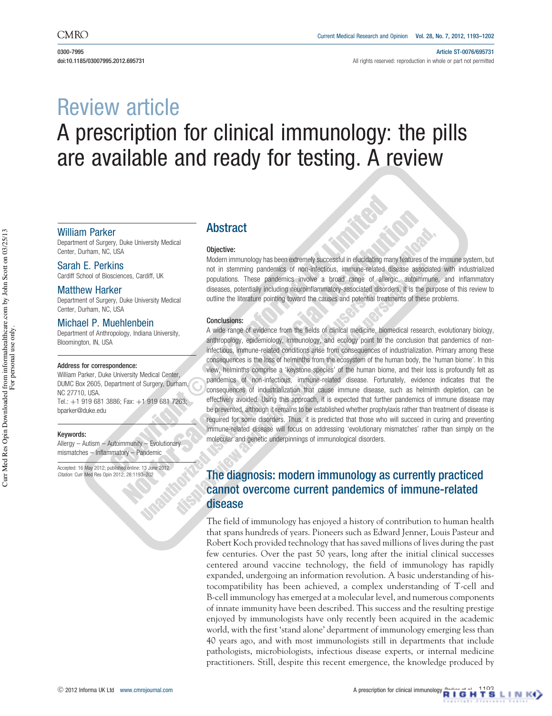# Review article A prescription for clinical immunology: the pills are available and ready for testing. A review

### William Parker

Department of Surgery, Duke University Medical Center, Durham, NC, USA

### Sarah E. Perkins

Cardiff School of Biosciences, Cardiff, UK

### Matthew Harker

Department of Surgery, Duke University Medical Center, Durham, NC, USA

#### Michael P. Muehlenbein

Department of Anthropology, Indiana University, Bloomington, IN, USA

#### Address for correspondence:

William Parker, Duke University Medical Center, DUMC Box 2605, Department of Surgery, Durham, NC 27710, USA. Tel.:  $+1$  919 681 3886; Fax:  $+1$  919 681 7263; bparker@duke.edu

#### Keywords:

Allergy – Autism – Autoimmunity – Evolutionary mismatches – Inflammatory – Pandemic

Accepted: 16 May 2012; published online: 13 June 2012 Citation: Curr Med Res Opin 2012; 28:1193–202

# Abstract

#### Objective:

Modern immunology has been extremely successful in elucidating many features of the immune system, but not in stemming pandemics of non-infectious, immune-related disease associated with industrialized populations. These pandemics involve a broad range of allergic, autoimmune, and inflammatory diseases, potentially including neuroinflammatory-associated disorders. It is the purpose of this review to outline the literature pointing toward the causes and potential treatments of these problems.

#### Conclusions:

Example the University Medical<br>
Collective:<br>
U. U.SA<br>
U. U.SA<br>
Collective:<br>
Modern immunology has been extremely successful in elucidating<br>
modern immunology has been extremely successful in elucidating<br>
Sciences, Cardiff, Abstract<br>
We University Medical<br>
Modern immunology has been extremely successful in elucidating many feature<br>
Modern immunology has been extremely successful in elucidating many feature<br>
Modern Linux moderns are promotion AUSTRIANT CONTROLL CONTROLL CONTROLL CONTROLL CONTROLL CONTROLL CONTROLL CONTROLL CONTROLL CONTROLL CONTROLL CONTROLL CONTROLL CONTROLL CONTROLL CONTROLL CONTROLL CONTROLL CONTROLL CONTROLL CONTROLL CONTROLL CONTROLL CONTR not in stemming pandemics of non-infectious, immune-related disease associated by the conductions. These pandemics involve a broad range of allergic, autoimmunically including neuroinflammatory-associated diseases, potenti A wide range of evidence from the fields of clinical medicine, biomedical research, evolutionary biology, anthropology, epidemiology, immunology, and ecology point to the conclusion that pandemics of noninfectious, immune-related conditions arise from consequences of industrialization. Primary among these consequences is the loss of helminths from the ecosystem of the human body, the 'human biome'. In this view, helminths comprise a 'keystone species' of the human biome, and their loss is profoundly felt as pandemics of non-infectious, immune-related disease. Fortunately, evidence indicates that the consequences of industrialization that cause immune disease, such as helminth depletion, can be effectively avoided. Using this approach, it is expected that further pandemics of immune disease may be prevented, although it remains to be established whether prophylaxis rather than treatment of disease is required for some disorders. Thus, it is predicted that those who will succeed in curing and preventing immune-related disease will focus on addressing 'evolutionary mismatches' rather than simply on the molecular and genetic underpinnings of immunological disorders.

# The diagnosis: modern immunology as currently practiced cannot overcome current pandemics of immune-related disease

The field of immunology has enjoyed a history of contribution to human health that spans hundreds of years. Pioneers such as Edward Jenner, Louis Pasteur and Robert Koch provided technology that has saved millions of lives during the past few centuries. Over the past 50 years, long after the initial clinical successes centered around vaccine technology, the field of immunology has rapidly expanded, undergoing an information revolution. A basic understanding of histocompatibility has been achieved, a complex understanding of T-cell and B-cell immunology has emerged at a molecular level, and numerous components of innate immunity have been described. This success and the resulting prestige enjoyed by immunologists have only recently been acquired in the academic world, with the first 'stand alone' department of immunology emerging less than 40 years ago, and with most immunologists still in departments that include pathologists, microbiologists, infectious disease experts, or internal medicine practitioners. Still, despite this recent emergence, the knowledge produced by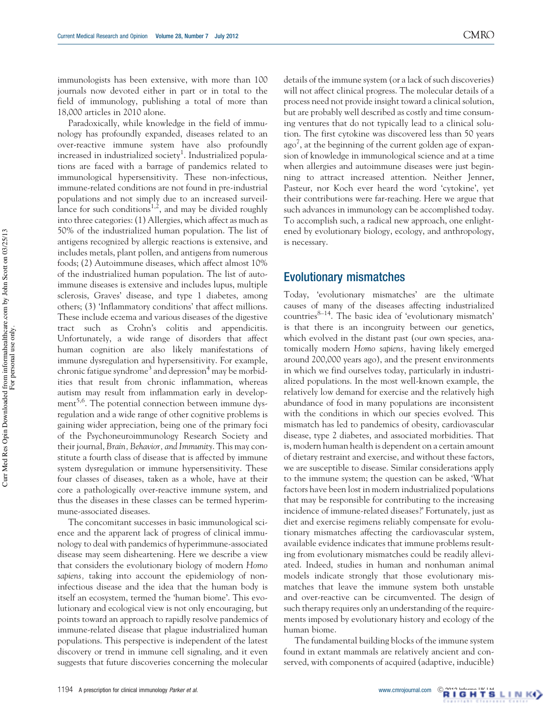immunologists has been extensive, with more than 100 journals now devoted either in part or in total to the field of immunology, publishing a total of more than 18,000 articles in 2010 alone.

Paradoxically, while knowledge in the field of immunology has profoundly expanded, diseases related to an over-reactive immune system have also profoundly increased in industrialized society<sup>1</sup>. Industrialized populations are faced with a barrage of pandemics related to immunological hypersensitivity. These non-infectious, immune-related conditions are not found in pre-industrial populations and not simply due to an increased surveillance for such conditions<sup>1,2</sup>, and may be divided roughly into three categories: (1) Allergies, which affect as much as 50% of the industrialized human population. The list of antigens recognized by allergic reactions is extensive, and includes metals, plant pollen, and antigens from numerous foods; (2) Autoimmune diseases, which affect almost 10% of the industrialized human population. The list of autoimmune diseases is extensive and includes lupus, multiple sclerosis, Graves' disease, and type 1 diabetes, among others; (3) 'Inflammatory conditions' that affect millions. These include eczema and various diseases of the digestive tract such as Crohn's colitis and appendicitis. Unfortunately, a wide range of disorders that affect human cognition are also likely manifestations of immune dysregulation and hypersensitivity. For example, chronic fatigue syndrome<sup>3</sup> and depression<sup>4</sup> may be morbidities that result from chronic inflammation, whereas autism may result from inflammation early in development $5,6$ . The potential connection between immune dysregulation and a wide range of other cognitive problems is gaining wider appreciation, being one of the primary foci of the Psychoneuroimmunology Research Society and their journal, Brain, Behavior, and Immunity. This may constitute a fourth class of disease that is affected by immune system dysregulation or immune hypersensitivity. These four classes of diseases, taken as a whole, have at their core a pathologically over-reactive immune system, and thus the diseases in these classes can be termed hyperimmune-associated diseases.

Curr Med Res Opin Downloaded from informahealthcare.com by John Scott on 03/25/13 For personal use only.

Curr Med Res Opin Downloaded from informahealthcare.com by John Scott on 03/25/13<br>For personal use only.

The concomitant successes in basic immunological science and the apparent lack of progress of clinical immunology to deal with pandemics of hyperimmune-associated disease may seem disheartening. Here we describe a view that considers the evolutionary biology of modern Homo sapiens, taking into account the epidemiology of noninfectious disease and the idea that the human body is itself an ecosystem, termed the 'human biome'. This evolutionary and ecological view is not only encouraging, but points toward an approach to rapidly resolve pandemics of immune-related disease that plague industrialized human populations. This perspective is independent of the latest discovery or trend in immune cell signaling, and it even suggests that future discoveries concerning the molecular

details of the immune system (or a lack of such discoveries) will not affect clinical progress. The molecular details of a process need not provide insight toward a clinical solution, but are probably well described as costly and time consuming ventures that do not typically lead to a clinical solution. The first cytokine was discovered less than 50 years  $ago<sup>7</sup>$ , at the beginning of the current golden age of expansion of knowledge in immunological science and at a time when allergies and autoimmune diseases were just beginning to attract increased attention. Neither Jenner, Pasteur, nor Koch ever heard the word 'cytokine', yet their contributions were far-reaching. Here we argue that such advances in immunology can be accomplished today. To accomplish such, a radical new approach, one enlightened by evolutionary biology, ecology, and anthropology, is necessary.

### Evolutionary mismatches

Today, 'evolutionary mismatches' are the ultimate causes of many of the diseases affecting industrialized countries $8-14$ . The basic idea of 'evolutionary mismatch' is that there is an incongruity between our genetics, which evolved in the distant past (our own species, anatomically modern Homo sapiens, having likely emerged around 200,000 years ago), and the present environments in which we find ourselves today, particularly in industrialized populations. In the most well-known example, the relatively low demand for exercise and the relatively high abundance of food in many populations are inconsistent with the conditions in which our species evolved. This mismatch has led to pandemics of obesity, cardiovascular disease, type 2 diabetes, and associated morbidities. That is, modern human health is dependent on a certain amount of dietary restraint and exercise, and without these factors, we are susceptible to disease. Similar considerations apply to the immune system; the question can be asked, 'What factors have been lost in modern industrialized populations that may be responsible for contributing to the increasing incidence of immune-related diseases?' Fortunately, just as diet and exercise regimens reliably compensate for evolutionary mismatches affecting the cardiovascular system, available evidence indicates that immune problems resulting from evolutionary mismatches could be readily alleviated. Indeed, studies in human and nonhuman animal models indicate strongly that those evolutionary mismatches that leave the immune system both unstable and over-reactive can be circumvented. The design of such therapy requires only an understanding of the requirements imposed by evolutionary history and ecology of the human biome.

The fundamental building blocks of the immune system found in extant mammals are relatively ancient and conserved, with components of acquired (adaptive, inducible)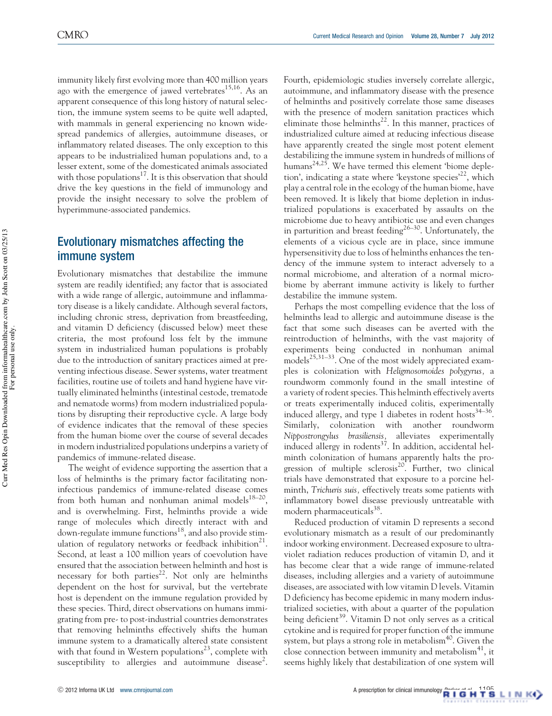immunity likely first evolving more than 400 million years ago with the emergence of jawed vertebrates $15,16$ . As an apparent consequence of this long history of natural selection, the immune system seems to be quite well adapted, with mammals in general experiencing no known widespread pandemics of allergies, autoimmune diseases, or inflammatory related diseases. The only exception to this appears to be industrialized human populations and, to a lesser extent, some of the domesticated animals associated with those populations<sup>17</sup>. It is this observation that should drive the key questions in the field of immunology and provide the insight necessary to solve the problem of hyperimmune-associated pandemics.

# Evolutionary mismatches affecting the immune system

Evolutionary mismatches that destabilize the immune system are readily identified; any factor that is associated with a wide range of allergic, autoimmune and inflammatory disease is a likely candidate. Although several factors, including chronic stress, deprivation from breastfeeding, and vitamin D deficiency (discussed below) meet these criteria, the most profound loss felt by the immune system in industrialized human populations is probably due to the introduction of sanitary practices aimed at preventing infectious disease. Sewer systems, water treatment facilities, routine use of toilets and hand hygiene have virtually eliminated helminths (intestinal cestode, trematode and nematode worms) from modern industrialized populations by disrupting their reproductive cycle. A large body of evidence indicates that the removal of these species from the human biome over the course of several decades in modern industrialized populations underpins a variety of pandemics of immune-related disease.

The weight of evidence supporting the assertion that a loss of helminths is the primary factor facilitating noninfectious pandemics of immune-related disease comes from both human and nonhuman animal models $18-20$ , and is overwhelming. First, helminths provide a wide range of molecules which directly interact with and down-regulate immune functions<sup>18</sup>, and also provide stimulation of regulatory networks or feedback inhibition<sup>21</sup>. Second, at least a 100 million years of coevolution have ensured that the association between helminth and host is necessary for both parties<sup>22</sup>. Not only are helminths dependent on the host for survival, but the vertebrate host is dependent on the immune regulation provided by these species. Third, direct observations on humans immigrating from pre- to post-industrial countries demonstrates that removing helminths effectively shifts the human immune system to a dramatically altered state consistent with that found in Western populations<sup>23</sup>, complete with susceptibility to allergies and autoimmune disease<sup>2</sup>.

Fourth, epidemiologic studies inversely correlate allergic, autoimmune, and inflammatory disease with the presence of helminths and positively correlate those same diseases with the presence of modern sanitation practices which eliminate those helminths<sup>22</sup>. In this manner, practices of industrialized culture aimed at reducing infectious disease have apparently created the single most potent element destabilizing the immune system in hundreds of millions of humans<sup>24,25</sup>. We have termed this element 'biome depletion', indicating a state where 'keystone species'<sup>22</sup>, which play a central role in the ecology of the human biome, have been removed. It is likely that biome depletion in industrialized populations is exacerbated by assaults on the microbiome due to heavy antibiotic use and even changes in parturition and breast feeding<sup>26–30</sup>. Unfortunately, the elements of a vicious cycle are in place, since immune hypersensitivity due to loss of helminths enhances the tendency of the immune system to interact adversely to a normal microbiome, and alteration of a normal microbiome by aberrant immune activity is likely to further destabilize the immune system.

Perhaps the most compelling evidence that the loss of helminths lead to allergic and autoimmune disease is the fact that some such diseases can be averted with the reintroduction of helminths, with the vast majority of experiments being conducted in nonhuman animal  $\text{models}^{25,31-33}$ . One of the most widely appreciated examples is colonization with Heligmosomoides polygyrus, a roundworm commonly found in the small intestine of a variety of rodent species. This helminth effectively averts or treats experimentally induced colitis, experimentally induced allergy, and type 1 diabetes in rodent hosts $34-36$ . Similarly, colonization with another roundworm Nippostrongylus brasiliensis, alleviates experimentally induced allergy in rodents<sup>37</sup>. In addition, accidental helminth colonization of humans apparently halts the progression of multiple sclerosis<sup>20</sup>. Further, two clinical trials have demonstrated that exposure to a porcine helminth, Trichuris suis, effectively treats some patients with inflammatory bowel disease previously untreatable with modern pharmaceuticals<sup>38</sup>.

Reduced production of vitamin D represents a second evolutionary mismatch as a result of our predominantly indoor working environment. Decreased exposure to ultraviolet radiation reduces production of vitamin D, and it has become clear that a wide range of immune-related diseases, including allergies and a variety of autoimmune diseases, are associated with low vitamin D levels. Vitamin D deficiency has become epidemic in many modern industrialized societies, with about a quarter of the population being deficient<sup>39</sup>. Vitamin D not only serves as a critical cytokine and is required for proper function of the immune system, but plays a strong role in metabolism $40$ . Given the close connection between immunity and metabolism<sup>41</sup>, it seems highly likely that destabilization of one system will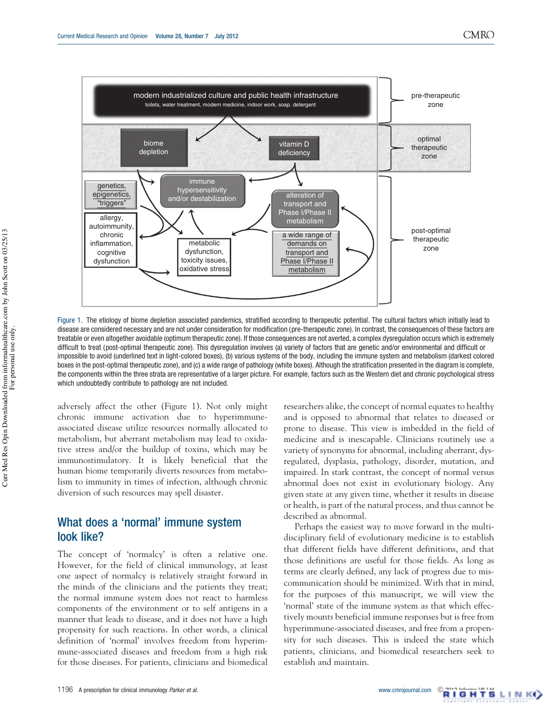

Figure 1. The etiology of biome depletion associated pandemics, stratified according to therapeutic potential. The cultural factors which initially lead to disease are considered necessary and are not under consideration for modification (pre-therapeutic zone). In contrast, the consequences of these factors are treatable or even altogether avoidable (optimum therapeutic zone). If those consequences are not averted, a complex dysregulation occurs which is extremely difficult to treat (post-optimal therapeutic zone). This dysregulation involves (a) variety of factors that are genetic and/or environmental and difficult or impossible to avoid (underlined text in light-colored boxes), (b) various systems of the body, including the immune system and metabolism (darkest colored boxes in the post-optimal therapeutic zone), and (c) a wide range of pathology (white boxes). Although the stratification presented in the diagram is complete, the components within the three strata are representative of a larger picture. For example, factors such as the Western diet and chronic psychological stress which undoubtedly contribute to pathology are not included.

adversely affect the other (Figure 1). Not only might chronic immune activation due to hyperimmuneassociated disease utilize resources normally allocated to metabolism, but aberrant metabolism may lead to oxidative stress and/or the buildup of toxins, which may be immunostimulatory. It is likely beneficial that the human biome temporarily diverts resources from metabolism to immunity in times of infection, although chronic diversion of such resources may spell disaster.

## What does a 'normal' immune system look like?

The concept of 'normalcy' is often a relative one. However, for the field of clinical immunology, at least one aspect of normalcy is relatively straight forward in the minds of the clinicians and the patients they treat; the normal immune system does not react to harmless components of the environment or to self antigens in a manner that leads to disease, and it does not have a high propensity for such reactions. In other words, a clinical definition of 'normal' involves freedom from hyperimmune-associated diseases and freedom from a high risk for those diseases. For patients, clinicians and biomedical researchers alike, the concept of normal equates to healthy and is opposed to abnormal that relates to diseased or prone to disease. This view is imbedded in the field of medicine and is inescapable. Clinicians routinely use a variety of synonyms for abnormal, including aberrant, dysregulated, dysplasia, pathology, disorder, mutation, and impaired. In stark contrast, the concept of normal versus abnormal does not exist in evolutionary biology. Any given state at any given time, whether it results in disease or health, is part of the natural process, and thus cannot be described as abnormal.

Perhaps the easiest way to move forward in the multidisciplinary field of evolutionary medicine is to establish that different fields have different definitions, and that those definitions are useful for those fields. As long as terms are clearly defined, any lack of progress due to miscommunication should be minimized. With that in mind, for the purposes of this manuscript, we will view the 'normal' state of the immune system as that which effectively mounts beneficial immune responses but is free from hyperimmune-associated diseases, and free from a propensity for such diseases. This is indeed the state which patients, clinicians, and biomedical researchers seek to establish and maintain.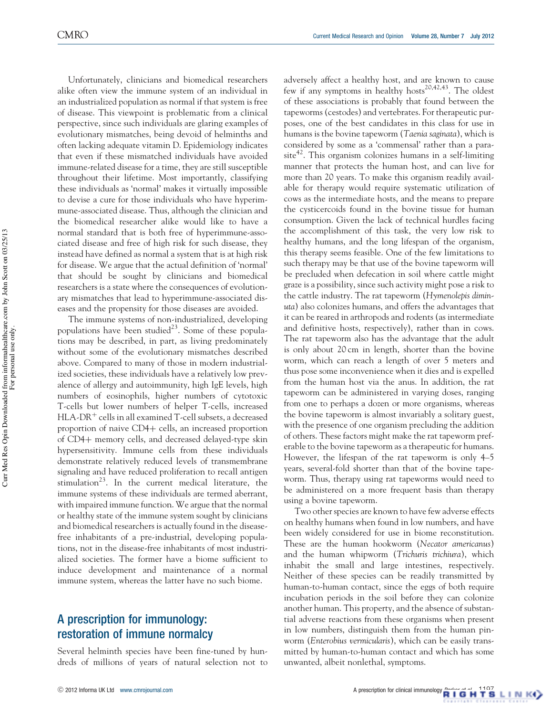Unfortunately, clinicians and biomedical researchers alike often view the immune system of an individual in an industrialized population as normal if that system is free of disease. This viewpoint is problematic from a clinical perspective, since such individuals are glaring examples of evolutionary mismatches, being devoid of helminths and often lacking adequate vitamin D. Epidemiology indicates that even if these mismatched individuals have avoided immune-related disease for a time, they are still susceptible throughout their lifetime. Most importantly, classifying these individuals as 'normal' makes it virtually impossible to devise a cure for those individuals who have hyperimmune-associated disease. Thus, although the clinician and the biomedical researcher alike would like to have a normal standard that is both free of hyperimmune-associated disease and free of high risk for such disease, they instead have defined as normal a system that is at high risk for disease. We argue that the actual definition of 'normal' that should be sought by clinicians and biomedical researchers is a state where the consequences of evolutionary mismatches that lead to hyperimmune-associated diseases and the propensity for those diseases are avoided.

The immune systems of non-industrialized, developing populations have been studied<sup>23</sup>. Some of these populations may be described, in part, as living predominately without some of the evolutionary mismatches described above. Compared to many of those in modern industrialized societies, these individuals have a relatively low prevalence of allergy and autoimmunity, high IgE levels, high numbers of eosinophils, higher numbers of cytotoxic T-cells but lower numbers of helper T-cells, increased  $HLA-DR<sup>+</sup>$  cells in all examined T-cell subsets, a decreased proportion of naive  $CD4+$  cells, an increased proportion of CD4+ memory cells, and decreased delayed-type skin hypersensitivity. Immune cells from these individuals demonstrate relatively reduced levels of transmembrane signaling and have reduced proliferation to recall antigen stimulation<sup>23</sup>. In the current medical literature, the immune systems of these individuals are termed aberrant, with impaired immune function. We argue that the normal or healthy state of the immune system sought by clinicians and biomedical researchers is actually found in the diseasefree inhabitants of a pre-industrial, developing populations, not in the disease-free inhabitants of most industrialized societies. The former have a biome sufficient to induce development and maintenance of a normal immune system, whereas the latter have no such biome.

# A prescription for immunology: restoration of immune normalcy

Several helminth species have been fine-tuned by hundreds of millions of years of natural selection not to adversely affect a healthy host, and are known to cause few if any symptoms in healthy hosts<sup>20,42,43</sup>. The oldest of these associations is probably that found between the tapeworms (cestodes) and vertebrates. For therapeutic purposes, one of the best candidates in this class for use in humans is the bovine tapeworm (Taenia saginata), which is considered by some as a 'commensal' rather than a parasite<sup>42</sup>. This organism colonizes humans in a self-limiting manner that protects the human host, and can live for more than 20 years. To make this organism readily available for therapy would require systematic utilization of cows as the intermediate hosts, and the means to prepare the cysticercoids found in the bovine tissue for human consumption. Given the lack of technical hurdles facing the accomplishment of this task, the very low risk to healthy humans, and the long lifespan of the organism, this therapy seems feasible. One of the few limitations to such therapy may be that use of the bovine tapeworm will be precluded when defecation in soil where cattle might graze is a possibility, since such activity might pose a risk to the cattle industry. The rat tapeworm (Hymenolepis diminuta) also colonizes humans, and offers the advantages that it can be reared in arthropods and rodents (as intermediate and definitive hosts, respectively), rather than in cows. The rat tapeworm also has the advantage that the adult is only about 20 cm in length, shorter than the bovine worm, which can reach a length of over 5 meters and thus pose some inconvenience when it dies and is expelled from the human host via the anus. In addition, the rat tapeworm can be administered in varying doses, ranging from one to perhaps a dozen or more organisms, whereas the bovine tapeworm is almost invariably a solitary guest, with the presence of one organism precluding the addition of others. These factors might make the rat tapeworm preferable to the bovine tapeworm as a therapeutic for humans. However, the lifespan of the rat tapeworm is only 4–5 years, several-fold shorter than that of the bovine tapeworm. Thus, therapy using rat tapeworms would need to be administered on a more frequent basis than therapy using a bovine tapeworm.

Two other species are known to have few adverse effects on healthy humans when found in low numbers, and have been widely considered for use in biome reconstitution. These are the human hookworm (Necator americanus) and the human whipworm (Trichuris trichiura), which inhabit the small and large intestines, respectively. Neither of these species can be readily transmitted by human-to-human contact, since the eggs of both require incubation periods in the soil before they can colonize another human. This property, and the absence of substantial adverse reactions from these organisms when present in low numbers, distinguish them from the human pinworm (Enterobius vermicularis), which can be easily transmitted by human-to-human contact and which has some unwanted, albeit nonlethal, symptoms.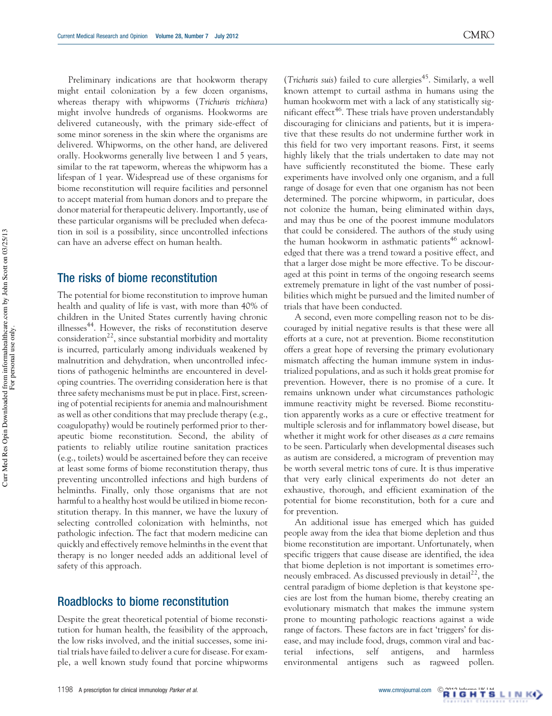Preliminary indications are that hookworm therapy might entail colonization by a few dozen organisms, whereas therapy with whipworms (Trichuris trichiura) might involve hundreds of organisms. Hookworms are delivered cutaneously, with the primary side-effect of some minor soreness in the skin where the organisms are delivered. Whipworms, on the other hand, are delivered orally. Hookworms generally live between 1 and 5 years, similar to the rat tapeworm, whereas the whipworm has a lifespan of 1 year. Widespread use of these organisms for biome reconstitution will require facilities and personnel to accept material from human donors and to prepare the donor material for therapeutic delivery. Importantly, use of these particular organisms will be precluded when defecation in soil is a possibility, since uncontrolled infections can have an adverse effect on human health.

### The risks of biome reconstitution

Curr Med Res Opin Downloaded from informahealthcare.com by John Scott on 03/25/13 For personal use only.

Curr Med Res Opin Downloaded from informahealthcare.com by John Scott on 03/25/13<br>For personal use only.

The potential for biome reconstitution to improve human health and quality of life is vast, with more than 40% of children in the United States currently having chronic illnesses<sup>44</sup>. However, the risks of reconstitution deserve consideration<sup>22</sup>, since substantial morbidity and mortality is incurred, particularly among individuals weakened by malnutrition and dehydration, when uncontrolled infections of pathogenic helminths are encountered in developing countries. The overriding consideration here is that three safety mechanisms must be put in place. First, screening of potential recipients for anemia and malnourishment as well as other conditions that may preclude therapy (e.g., coagulopathy) would be routinely performed prior to therapeutic biome reconstitution. Second, the ability of patients to reliably utilize routine sanitation practices (e.g., toilets) would be ascertained before they can receive at least some forms of biome reconstitution therapy, thus preventing uncontrolled infections and high burdens of helminths. Finally, only those organisms that are not harmful to a healthy host would be utilized in biome reconstitution therapy. In this manner, we have the luxury of selecting controlled colonization with helminths, not pathologic infection. The fact that modern medicine can quickly and effectively remove helminths in the event that therapy is no longer needed adds an additional level of safety of this approach.

### Roadblocks to biome reconstitution

Despite the great theoretical potential of biome reconstitution for human health, the feasibility of the approach, the low risks involved, and the initial successes, some initial trials have failed to deliver a cure for disease. For example, a well known study found that porcine whipworms (Trichuris suis) failed to cure allergies<sup>45</sup>. Similarly, a well known attempt to curtail asthma in humans using the human hookworm met with a lack of any statistically significant effect<sup>46</sup>. These trials have proven understandably discouraging for clinicians and patients, but it is imperative that these results do not undermine further work in this field for two very important reasons. First, it seems highly likely that the trials undertaken to date may not have sufficiently reconstituted the biome. These early experiments have involved only one organism, and a full range of dosage for even that one organism has not been determined. The porcine whipworm, in particular, does not colonize the human, being eliminated within days, and may thus be one of the poorest immune modulators that could be considered. The authors of the study using the human hookworm in asthmatic patients<sup>46</sup> acknowledged that there was a trend toward a positive effect, and that a larger dose might be more effective. To be discouraged at this point in terms of the ongoing research seems extremely premature in light of the vast number of possibilities which might be pursued and the limited number of trials that have been conducted.

**CMRO** 

A second, even more compelling reason not to be discouraged by initial negative results is that these were all efforts at a cure, not at prevention. Biome reconstitution offers a great hope of reversing the primary evolutionary mismatch affecting the human immune system in industrialized populations, and as such it holds great promise for prevention. However, there is no promise of a cure. It remains unknown under what circumstances pathologic immune reactivity might be reversed. Biome reconstitution apparently works as a cure or effective treatment for multiple sclerosis and for inflammatory bowel disease, but whether it might work for other diseases as a cure remains to be seen. Particularly when developmental diseases such as autism are considered, a microgram of prevention may be worth several metric tons of cure. It is thus imperative that very early clinical experiments do not deter an exhaustive, thorough, and efficient examination of the potential for biome reconstitution, both for a cure and for prevention.

An additional issue has emerged which has guided people away from the idea that biome depletion and thus biome reconstitution are important. Unfortunately, when specific triggers that cause disease are identified, the idea that biome depletion is not important is sometimes erroneously embraced. As discussed previously in detail<sup>22</sup>, the central paradigm of biome depletion is that keystone species are lost from the human biome, thereby creating an evolutionary mismatch that makes the immune system prone to mounting pathologic reactions against a wide range of factors. These factors are in fact 'triggers' for disease, and may include food, drugs, common viral and bacterial infections, self antigens, and harmless environmental antigens such as ragweed pollen.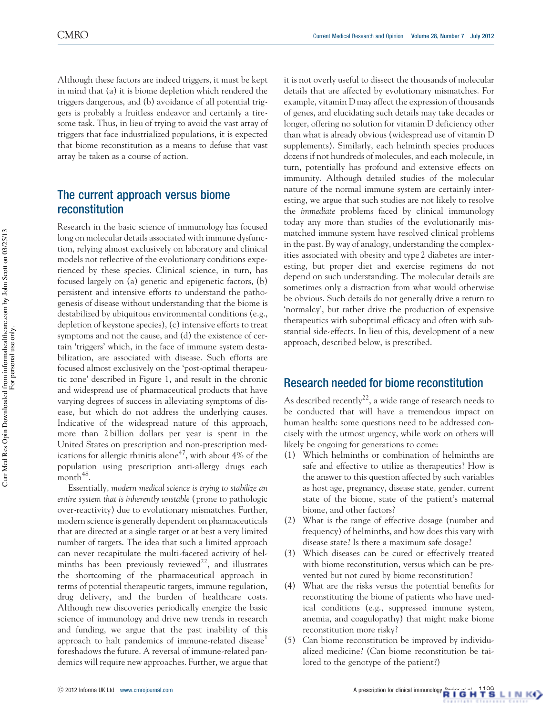Although these factors are indeed triggers, it must be kept in mind that (a) it is biome depletion which rendered the triggers dangerous, and (b) avoidance of all potential triggers is probably a fruitless endeavor and certainly a tiresome task. Thus, in lieu of trying to avoid the vast array of triggers that face industrialized populations, it is expected that biome reconstitution as a means to defuse that vast array be taken as a course of action.

# The current approach versus biome reconstitution

Research in the basic science of immunology has focused long on molecular details associated with immune dysfunction, relying almost exclusively on laboratory and clinical models not reflective of the evolutionary conditions experienced by these species. Clinical science, in turn, has focused largely on (a) genetic and epigenetic factors, (b) persistent and intensive efforts to understand the pathogenesis of disease without understanding that the biome is destabilized by ubiquitous environmental conditions (e.g., depletion of keystone species), (c) intensive efforts to treat symptoms and not the cause, and (d) the existence of certain 'triggers' which, in the face of immune system destabilization, are associated with disease. Such efforts are focused almost exclusively on the 'post-optimal therapeutic zone' described in Figure 1, and result in the chronic and widespread use of pharmaceutical products that have varying degrees of success in alleviating symptoms of disease, but which do not address the underlying causes. Indicative of the widespread nature of this approach, more than 2 billion dollars per year is spent in the United States on prescription and non-prescription medications for allergic rhinitis alone<sup>47</sup>, with about 4% of the population using prescription anti-allergy drugs each  $month<sup>48</sup>$ .

Essentially, modern medical science is trying to stabilize an entire system that is inherently unstable (prone to pathologic over-reactivity) due to evolutionary mismatches. Further, modern science is generally dependent on pharmaceuticals that are directed at a single target or at best a very limited number of targets. The idea that such a limited approach can never recapitulate the multi-faceted activity of helminths has been previously reviewed<sup>22</sup>, and illustrates the shortcoming of the pharmaceutical approach in terms of potential therapeutic targets, immune regulation, drug delivery, and the burden of healthcare costs. Although new discoveries periodically energize the basic science of immunology and drive new trends in research and funding, we argue that the past inability of this approach to halt pandemics of immune-related disease<sup>1</sup> foreshadows the future. A reversal of immune-related pandemics will require new approaches. Further, we argue that

it is not overly useful to dissect the thousands of molecular details that are affected by evolutionary mismatches. For example, vitamin D may affect the expression of thousands of genes, and elucidating such details may take decades or longer, offering no solution for vitamin D deficiency other than what is already obvious (widespread use of vitamin D supplements). Similarly, each helminth species produces dozens if not hundreds of molecules, and each molecule, in turn, potentially has profound and extensive effects on immunity. Although detailed studies of the molecular nature of the normal immune system are certainly interesting, we argue that such studies are not likely to resolve the immediate problems faced by clinical immunology today any more than studies of the evolutionarily mismatched immune system have resolved clinical problems in the past. By way of analogy, understanding the complexities associated with obesity and type 2 diabetes are interesting, but proper diet and exercise regimens do not depend on such understanding. The molecular details are sometimes only a distraction from what would otherwise be obvious. Such details do not generally drive a return to 'normalcy', but rather drive the production of expensive therapeutics with suboptimal efficacy and often with substantial side-effects. In lieu of this, development of a new approach, described below, is prescribed.

# Research needed for biome reconstitution

As described recently<sup>22</sup>, a wide range of research needs to be conducted that will have a tremendous impact on human health: some questions need to be addressed concisely with the utmost urgency, while work on others will likely be ongoing for generations to come:

- (1) Which helminths or combination of helminths are safe and effective to utilize as therapeutics? How is the answer to this question affected by such variables as host age, pregnancy, disease state, gender, current state of the biome, state of the patient's maternal biome, and other factors?
- (2) What is the range of effective dosage (number and frequency) of helminths, and how does this vary with disease state? Is there a maximum safe dosage?
- (3) Which diseases can be cured or effectively treated with biome reconstitution, versus which can be prevented but not cured by biome reconstitution?
- (4) What are the risks versus the potential benefits for reconstituting the biome of patients who have medical conditions (e.g., suppressed immune system, anemia, and coagulopathy) that might make biome reconstitution more risky?
- (5) Can biome reconstitution be improved by individualized medicine? (Can biome reconstitution be tailored to the genotype of the patient?)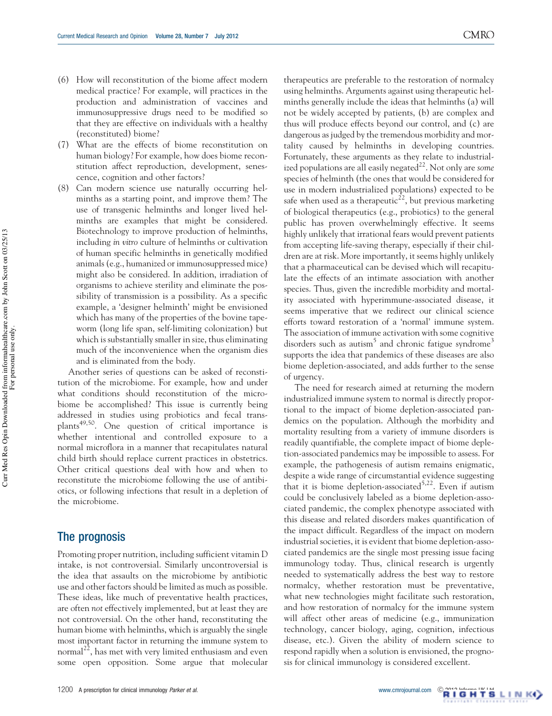- (6) How will reconstitution of the biome affect modern medical practice? For example, will practices in the production and administration of vaccines and immunosuppressive drugs need to be modified so that they are effective on individuals with a healthy (reconstituted) biome?
- (7) What are the effects of biome reconstitution on human biology? For example, how does biome reconstitution affect reproduction, development, senescence, cognition and other factors?
- (8) Can modern science use naturally occurring helminths as a starting point, and improve them? The use of transgenic helminths and longer lived helminths are examples that might be considered. Biotechnology to improve production of helminths, including in vitro culture of helminths or cultivation of human specific helminths in genetically modified animals (e.g., humanized or immunosuppressed mice) might also be considered. In addition, irradiation of organisms to achieve sterility and eliminate the possibility of transmission is a possibility. As a specific example, a 'designer helminth' might be envisioned which has many of the properties of the bovine tapeworm (long life span, self-limiting colonization) but which is substantially smaller in size, thus eliminating much of the inconvenience when the organism dies and is eliminated from the body.

Another series of questions can be asked of reconstitution of the microbiome. For example, how and under what conditions should reconstitution of the microbiome be accomplished? This issue is currently being addressed in studies using probiotics and fecal trans- $\mu$  plants<sup>49,50</sup>. One question of critical importance is whether intentional and controlled exposure to a normal microflora in a manner that recapitulates natural child birth should replace current practices in obstetrics. Other critical questions deal with how and when to reconstitute the microbiome following the use of antibiotics, or following infections that result in a depletion of the microbiome.

### The prognosis

Promoting proper nutrition, including sufficient vitamin D intake, is not controversial. Similarly uncontroversial is the idea that assaults on the microbiome by antibiotic use and other factors should be limited as much as possible. These ideas, like much of preventative health practices, are often not effectively implemented, but at least they are not controversial. On the other hand, reconstituting the human biome with helminths, which is arguably the single most important factor in returning the immune system to normal<sup>22</sup>, has met with very limited enthusiasm and even some open opposition. Some argue that molecular

therapeutics are preferable to the restoration of normalcy using helminths. Arguments against using therapeutic helminths generally include the ideas that helminths (a) will not be widely accepted by patients, (b) are complex and thus will produce effects beyond our control, and (c) are dangerous as judged by the tremendous morbidity and mortality caused by helminths in developing countries. Fortunately, these arguments as they relate to industrialized populations are all easily negated $22$ . Not only are some species of helminth (the ones that would be considered for use in modern industrialized populations) expected to be safe when used as a therapeutic<sup>22</sup>, but previous marketing of biological therapeutics (e.g., probiotics) to the general public has proven overwhelmingly effective. It seems highly unlikely that irrational fears would prevent patients from accepting life-saving therapy, especially if their children are at risk. More importantly, it seems highly unlikely that a pharmaceutical can be devised which will recapitulate the effects of an intimate association with another species. Thus, given the incredible morbidity and mortality associated with hyperimmune-associated disease, it seems imperative that we redirect our clinical science efforts toward restoration of a 'normal' immune system. The association of immune activation with some cognitive disorders such as autism<sup>5</sup> and chronic fatigue syndrome<sup>3</sup> supports the idea that pandemics of these diseases are also biome depletion-associated, and adds further to the sense of urgency.

The need for research aimed at returning the modern industrialized immune system to normal is directly proportional to the impact of biome depletion-associated pandemics on the population. Although the morbidity and mortality resulting from a variety of immune disorders is readily quantifiable, the complete impact of biome depletion-associated pandemics may be impossible to assess. For example, the pathogenesis of autism remains enigmatic, despite a wide range of circumstantial evidence suggesting that it is biome depletion-associated<sup>5,22</sup>. Even if autism could be conclusively labeled as a biome depletion-associated pandemic, the complex phenotype associated with this disease and related disorders makes quantification of the impact difficult. Regardless of the impact on modern industrial societies, it is evident that biome depletion-associated pandemics are the single most pressing issue facing immunology today. Thus, clinical research is urgently needed to systematically address the best way to restore normalcy, whether restoration must be preventative, what new technologies might facilitate such restoration, and how restoration of normalcy for the immune system will affect other areas of medicine (e.g., immunization technology, cancer biology, aging, cognition, infectious disease, etc.). Given the ability of modern science to respond rapidly when a solution is envisioned, the prognosis for clinical immunology is considered excellent.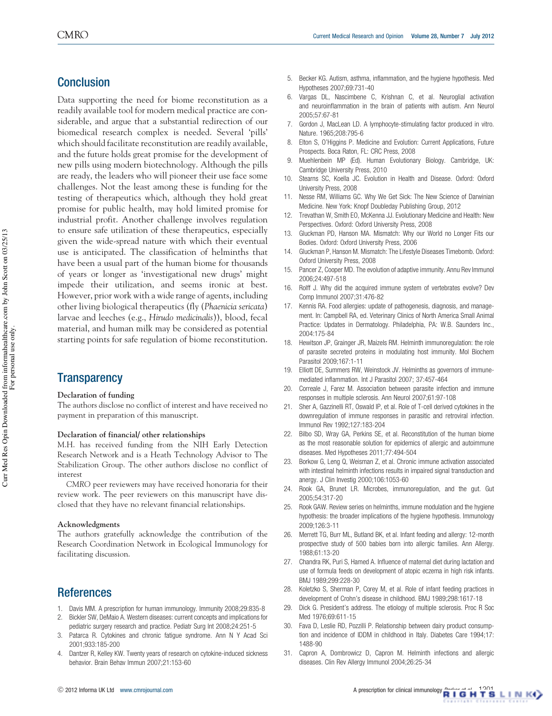## **Conclusion**

Data supporting the need for biome reconstitution as a readily available tool for modern medical practice are considerable, and argue that a substantial redirection of our biomedical research complex is needed. Several 'pills' which should facilitate reconstitution are readily available, and the future holds great promise for the development of new pills using modern biotechnology. Although the pills are ready, the leaders who will pioneer their use face some challenges. Not the least among these is funding for the testing of therapeutics which, although they hold great promise for public health, may hold limited promise for industrial profit. Another challenge involves regulation to ensure safe utilization of these therapeutics, especially given the wide-spread nature with which their eventual use is anticipated. The classification of helminths that have been a usual part of the human biome for thousands of years or longer as 'investigational new drugs' might impede their utilization, and seems ironic at best. However, prior work with a wide range of agents, including other living biological therapeutics (fly (Phaenicia sericata) larvae and leeches (e.g., Hirudo medicinalis)), blood, fecal material, and human milk may be considered as potential starting points for safe regulation of biome reconstitution.

### **Transparency**

### Declaration of funding

The authors disclose no conflict of interest and have received no payment in preparation of this manuscript.

#### Declaration of financial/ other relationships

M.H. has received funding from the NIH Early Detection Research Network and is a Heath Technology Advisor to The Stabilization Group. The other authors disclose no conflict of interest

CMRO peer reviewers may have received honoraria for their review work. The peer reviewers on this manuscript have disclosed that they have no relevant financial relationships.

#### Acknowledgments

The authors gratefully acknowledge the contribution of the Research Coordination Network in Ecological Immunology for facilitating discussion.

### References

- 1. Davis MM. A prescription for human immunology. Immunity 2008;29:835-8
- 2. Bickler SW, DeMaio A. Western diseases: current concepts and implications for pediatric surgery research and practice. Pediatr Surg Int 2008;24:251-5
- 3. Patarca R. Cytokines and chronic fatigue syndrome. Ann N Y Acad Sci 2001;933:185-200
- 4. Dantzer R, Kelley KW. Twenty years of research on cytokine-induced sickness behavior. Brain Behav Immun 2007;21:153-60
- 5. Becker KG. Autism, asthma, inflammation, and the hygiene hypothesis. Med Hypotheses 2007;69:731-40
- 6. Vargas DL, Nascimbene C, Krishnan C, et al. Neuroglial activation and neuroinflammation in the brain of patients with autism. Ann Neurol 2005;57:67-81
- 7. Gordon J, MacLean LD. A lymphocyte-stimulating factor produced in vitro. Nature. 1965;208:795-6
- 8. Elton S, O'Higgins P. Medicine and Evolution: Current Applications, Future Prospects. Boca Raton, FL: CRC Press, 2008
- 9. Muehlenbein MP (Ed). Human Evolutionary Biology. Cambridge, UK: Cambridge University Press, 2010
- 10. Stearns SC, Koella JC. Evolution in Health and Disease. Oxford: Oxford University Press, 2008
- 11. Nesse RM, Williams GC. Why We Get Sick: The New Science of Darwinian Medicine. New York: Knopf Doubleday Publishing Group, 2012
- 12. Trevathan W, Smith EO, McKenna JJ. Evolutionary Medicine and Health: New Perspectives. Oxford: Oxford University Press, 2008
- 13. Gluckman PD, Hanson MA. Mismatch: Why our World no Longer Fits our Bodies. Oxford: Oxford University Press, 2006
- 14. Gluckman P, Hanson M. Mismatch: The Lifestyle Diseases Timebomb. Oxford: Oxford University Press, 2008
- 15. Pancer Z, Cooper MD. The evolution of adaptive immunity. Annu Rev Immunol 2006;24:497-518
- 16. Rolff J. Why did the acquired immune system of vertebrates evolve? Dev Comp Immunol 2007;31:476-82
- 17. Kennis RA. Food allergies: update of pathogenesis, diagnosis, and management. In: Campbell RA, ed. Veterinary Clinics of North America Small Animal Practice: Updates in Dermatology. Philadelphia, PA: W.B. Saunders Inc., 2004:175-84
- 18. Hewitson JP, Grainger JR, Maizels RM. Helminth immunoregulation: the role of parasite secreted proteins in modulating host immunity. Mol Biochem Parasitol 2009;167:1-11
- 19. Elliott DE, Summers RW, Weinstock JV. Helminths as governors of immunemediated inflammation. Int J Parasitol 2007; 37:457-464
- 20. Correale J, Farez M. Association between parasite infection and immune responses in multiple sclerosis. Ann Neurol 2007;61:97-108
- 21. Sher A, Gazzinelli RT, Oswald IP, et al. Role of T-cell derived cytokines in the downregulation of immune responses in parasitic and retroviral infection. Immunol Rev 1992;127:183-204
- 22. Bilbo SD, Wray GA, Perkins SE, et al. Reconstitution of the human biome as the most reasonable solution for epidemics of allergic and autoimmune diseases. Med Hypotheses 2011;77:494-504
- 23. Borkow G, Leng Q, Weisman Z, et al. Chronic immune activation associated with intestinal helminth infections results in impaired signal transduction and anergy. J Clin Investig 2000;106:1053-60
- 24. Rook GA, Brunet LR. Microbes, immunoregulation, and the gut. Gut 2005;54:317-20
- 25. Rook GAW. Review series on helminths, immune modulation and the hygiene hypothesis: the broader implications of the hygiene hypothesis. Immunology 2009;126:3-11
- 26. Merrett TG, Burr ML, Butland BK, et al. Infant feeding and allergy: 12-month prospective study of 500 babies born into allergic families. Ann Allergy. 1988;61:13-20
- 27. Chandra RK, Puri S, Hamed A. Influence of maternal diet during lactation and use of formula feeds on development of atopic eczema in high risk infants. BMJ 1989;299:228-30
- 28. Koletzko S, Sherman P, Corey M, et al. Role of infant feeding practices in development of Crohn's disease in childhood. BMJ 1989;298:1617-18
- 29. Dick G. President's address. The etiology of multiple sclerosis. Proc R Soc Med 1976;69:611-15
- 30. Fava D, Leslie RD, Pozzilli P. Relationship between dairy product consumption and incidence of IDDM in childhood in Italy. Diabetes Care 1994;17: 1488-90
- 31. Capron A, Dombrowicz D, Capron M. Helminth infections and allergic diseases. Clin Rev Allergy Immunol 2004;26:25-34